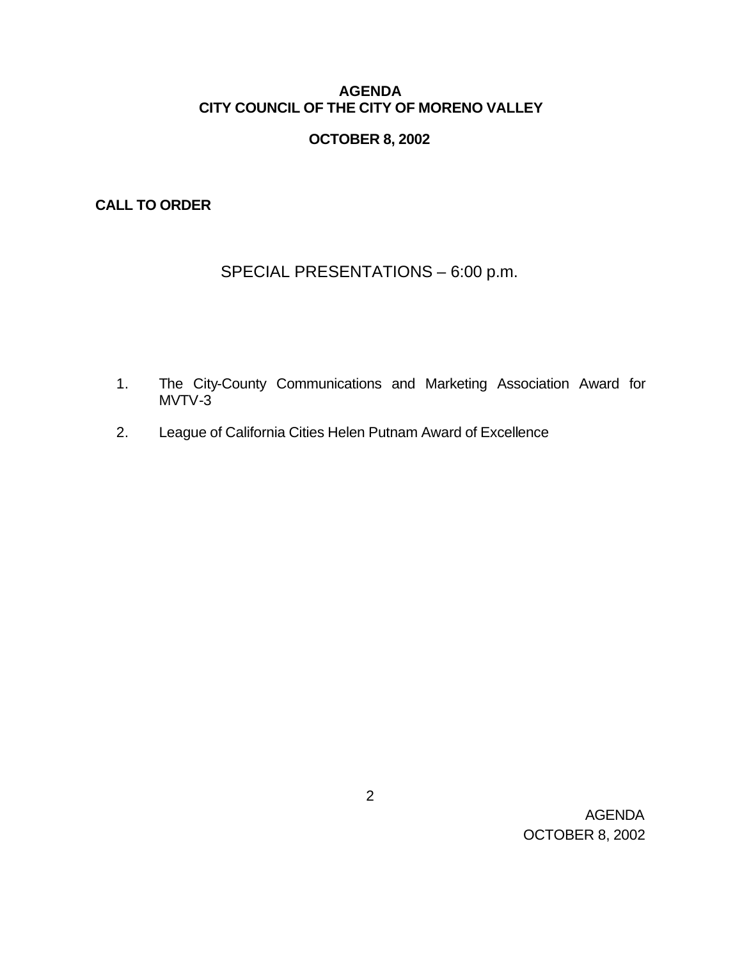## **AGENDA CITY COUNCIL OF THE CITY OF MORENO VALLEY**

# **OCTOBER 8, 2002**

**CALL TO ORDER**

# SPECIAL PRESENTATIONS – 6:00 p.m.

- 1. The City-County Communications and Marketing Association Award for MVTV-3
- 2. League of California Cities Helen Putnam Award of Excellence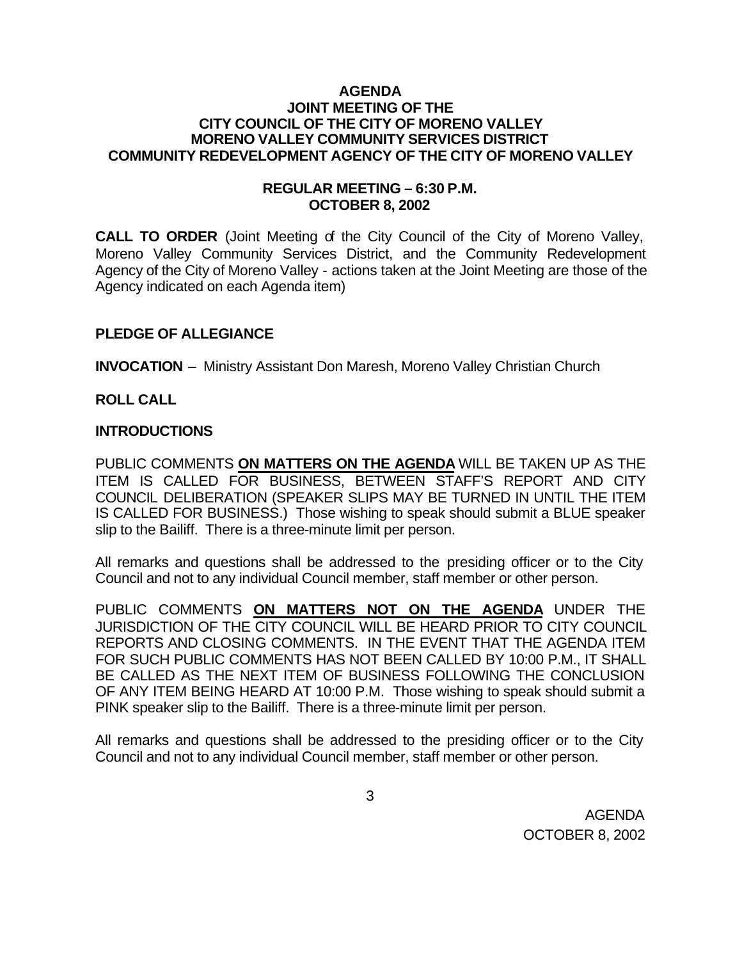### **AGENDA JOINT MEETING OF THE CITY COUNCIL OF THE CITY OF MORENO VALLEY MORENO VALLEY COMMUNITY SERVICES DISTRICT COMMUNITY REDEVELOPMENT AGENCY OF THE CITY OF MORENO VALLEY**

### **REGULAR MEETING – 6:30 P.M. OCTOBER 8, 2002**

**CALL TO ORDER** (Joint Meeting of the City Council of the City of Moreno Valley, Moreno Valley Community Services District, and the Community Redevelopment Agency of the City of Moreno Valley - actions taken at the Joint Meeting are those of the Agency indicated on each Agenda item)

## **PLEDGE OF ALLEGIANCE**

**INVOCATION** – Ministry Assistant Don Maresh, Moreno Valley Christian Church

## **ROLL CALL**

### **INTRODUCTIONS**

PUBLIC COMMENTS **ON MATTERS ON THE AGENDA** WILL BE TAKEN UP AS THE ITEM IS CALLED FOR BUSINESS, BETWEEN STAFF'S REPORT AND CITY COUNCIL DELIBERATION (SPEAKER SLIPS MAY BE TURNED IN UNTIL THE ITEM IS CALLED FOR BUSINESS.) Those wishing to speak should submit a BLUE speaker slip to the Bailiff. There is a three-minute limit per person.

All remarks and questions shall be addressed to the presiding officer or to the City Council and not to any individual Council member, staff member or other person.

PUBLIC COMMENTS **ON MATTERS NOT ON THE AGENDA** UNDER THE JURISDICTION OF THE CITY COUNCIL WILL BE HEARD PRIOR TO CITY COUNCIL REPORTS AND CLOSING COMMENTS. IN THE EVENT THAT THE AGENDA ITEM FOR SUCH PUBLIC COMMENTS HAS NOT BEEN CALLED BY 10:00 P.M., IT SHALL BE CALLED AS THE NEXT ITEM OF BUSINESS FOLLOWING THE CONCLUSION OF ANY ITEM BEING HEARD AT 10:00 P.M. Those wishing to speak should submit a PINK speaker slip to the Bailiff. There is a three-minute limit per person.

All remarks and questions shall be addressed to the presiding officer or to the City Council and not to any individual Council member, staff member or other person.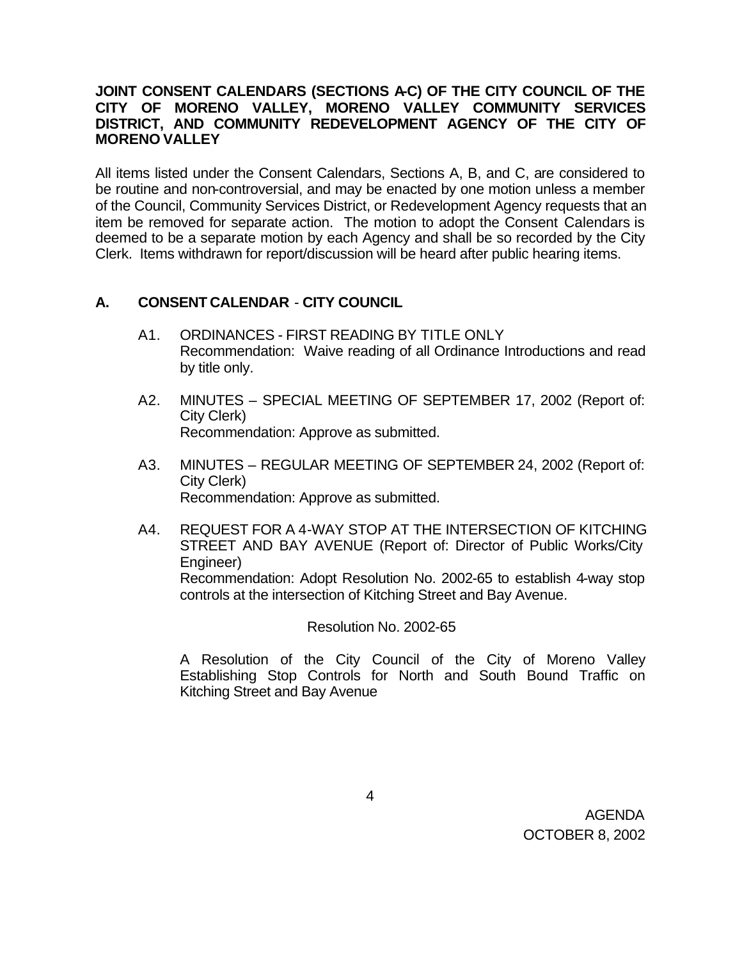## **JOINT CONSENT CALENDARS (SECTIONS A-C) OF THE CITY COUNCIL OF THE CITY OF MORENO VALLEY, MORENO VALLEY COMMUNITY SERVICES DISTRICT, AND COMMUNITY REDEVELOPMENT AGENCY OF THE CITY OF MORENO VALLEY**

All items listed under the Consent Calendars, Sections A, B, and C, are considered to be routine and non-controversial, and may be enacted by one motion unless a member of the Council, Community Services District, or Redevelopment Agency requests that an item be removed for separate action. The motion to adopt the Consent Calendars is deemed to be a separate motion by each Agency and shall be so recorded by the City Clerk. Items withdrawn for report/discussion will be heard after public hearing items.

# **A. CONSENT CALENDAR** - **CITY COUNCIL**

- A1. ORDINANCES FIRST READING BY TITLE ONLY Recommendation: Waive reading of all Ordinance Introductions and read by title only.
- A2. MINUTES SPECIAL MEETING OF SEPTEMBER 17, 2002 (Report of: City Clerk) Recommendation: Approve as submitted.
- A3. MINUTES REGULAR MEETING OF SEPTEMBER 24, 2002 (Report of: City Clerk) Recommendation: Approve as submitted.
- A4. REQUEST FOR A 4-WAY STOP AT THE INTERSECTION OF KITCHING STREET AND BAY AVENUE (Report of: Director of Public Works/City Engineer) Recommendation: Adopt Resolution No. 2002-65 to establish 4-way stop controls at the intersection of Kitching Street and Bay Avenue.

Resolution No. 2002-65

A Resolution of the City Council of the City of Moreno Valley Establishing Stop Controls for North and South Bound Traffic on Kitching Street and Bay Avenue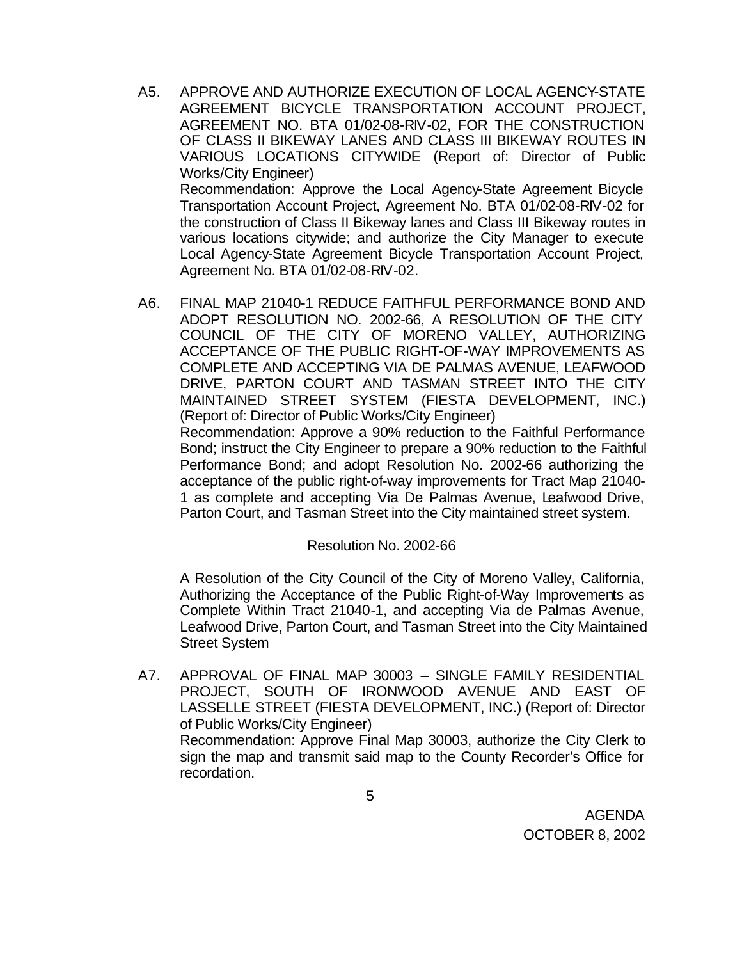- A5. APPROVE AND AUTHORIZE EXECUTION OF LOCAL AGENCY-STATE AGREEMENT BICYCLE TRANSPORTATION ACCOUNT PROJECT, AGREEMENT NO. BTA 01/02-08-RIV-02, FOR THE CONSTRUCTION OF CLASS II BIKEWAY LANES AND CLASS III BIKEWAY ROUTES IN VARIOUS LOCATIONS CITYWIDE (Report of: Director of Public Works/City Engineer) Recommendation: Approve the Local Agency-State Agreement Bicycle Transportation Account Project, Agreement No. BTA 01/02-08-RIV-02 for the construction of Class II Bikeway lanes and Class III Bikeway routes in various locations citywide; and authorize the City Manager to execute Local Agency-State Agreement Bicycle Transportation Account Project, Agreement No. BTA 01/02-08-RIV-02.
- A6. FINAL MAP 21040-1 REDUCE FAITHFUL PERFORMANCE BOND AND ADOPT RESOLUTION NO. 2002-66, A RESOLUTION OF THE CITY COUNCIL OF THE CITY OF MORENO VALLEY, AUTHORIZING ACCEPTANCE OF THE PUBLIC RIGHT-OF-WAY IMPROVEMENTS AS COMPLETE AND ACCEPTING VIA DE PALMAS AVENUE, LEAFWOOD DRIVE, PARTON COURT AND TASMAN STREET INTO THE CITY MAINTAINED STREET SYSTEM (FIESTA DEVELOPMENT, INC.) (Report of: Director of Public Works/City Engineer) Recommendation: Approve a 90% reduction to the Faithful Performance

Bond; instruct the City Engineer to prepare a 90% reduction to the Faithful Performance Bond; and adopt Resolution No. 2002-66 authorizing the acceptance of the public right-of-way improvements for Tract Map 21040- 1 as complete and accepting Via De Palmas Avenue, Leafwood Drive, Parton Court, and Tasman Street into the City maintained street system.

### Resolution No. 2002-66

A Resolution of the City Council of the City of Moreno Valley, California, Authorizing the Acceptance of the Public Right-of-Way Improvements as Complete Within Tract 21040-1, and accepting Via de Palmas Avenue, Leafwood Drive, Parton Court, and Tasman Street into the City Maintained Street System

A7. APPROVAL OF FINAL MAP 30003 – SINGLE FAMILY RESIDENTIAL PROJECT, SOUTH OF IRONWOOD AVENUE AND EAST OF LASSELLE STREET (FIESTA DEVELOPMENT, INC.) (Report of: Director of Public Works/City Engineer) Recommendation: Approve Final Map 30003, authorize the City Clerk to sign the map and transmit said map to the County Recorder's Office for recordation.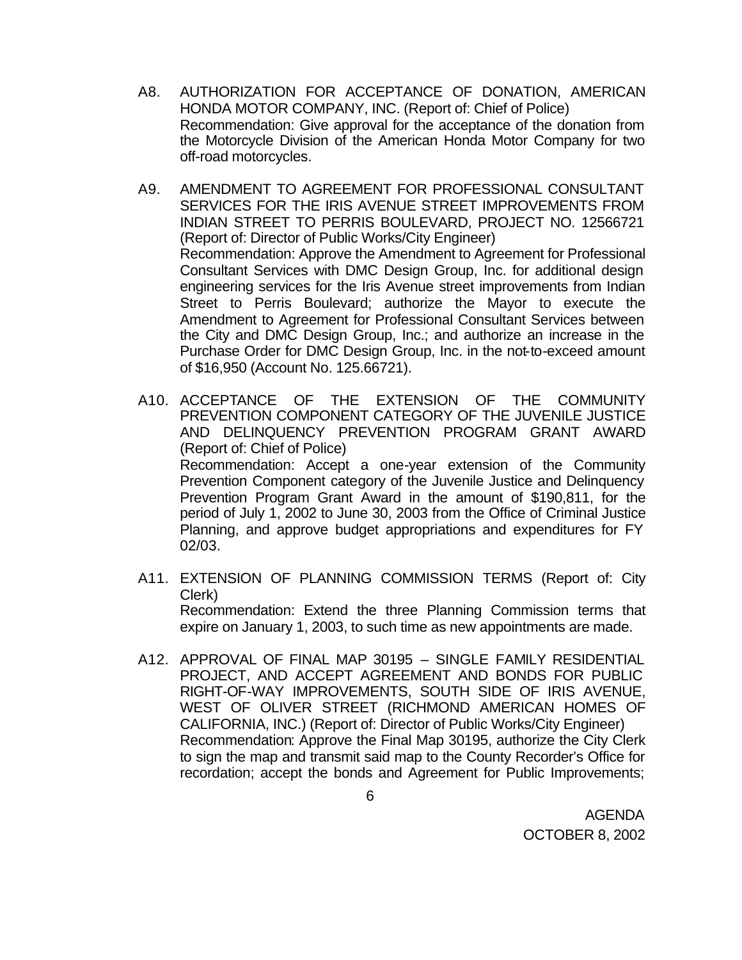- A8. AUTHORIZATION FOR ACCEPTANCE OF DONATION, AMERICAN HONDA MOTOR COMPANY, INC. (Report of: Chief of Police) Recommendation: Give approval for the acceptance of the donation from the Motorcycle Division of the American Honda Motor Company for two off-road motorcycles.
- A9. AMENDMENT TO AGREEMENT FOR PROFESSIONAL CONSULTANT SERVICES FOR THE IRIS AVENUE STREET IMPROVEMENTS FROM INDIAN STREET TO PERRIS BOULEVARD, PROJECT NO. 12566721 (Report of: Director of Public Works/City Engineer) Recommendation: Approve the Amendment to Agreement for Professional Consultant Services with DMC Design Group, Inc. for additional design engineering services for the Iris Avenue street improvements from Indian Street to Perris Boulevard; authorize the Mayor to execute the Amendment to Agreement for Professional Consultant Services between the City and DMC Design Group, Inc.; and authorize an increase in the Purchase Order for DMC Design Group, Inc. in the not-to-exceed amount of \$16,950 (Account No. 125.66721).
- A10. ACCEPTANCE OF THE EXTENSION OF THE COMMUNITY PREVENTION COMPONENT CATEGORY OF THE JUVENILE JUSTICE AND DELINQUENCY PREVENTION PROGRAM GRANT AWARD (Report of: Chief of Police) Recommendation: Accept a one-year extension of the Community Prevention Component category of the Juvenile Justice and Delinquency Prevention Program Grant Award in the amount of \$190,811, for the period of July 1, 2002 to June 30, 2003 from the Office of Criminal Justice Planning, and approve budget appropriations and expenditures for FY 02/03.
- A11. EXTENSION OF PLANNING COMMISSION TERMS (Report of: City Clerk) Recommendation: Extend the three Planning Commission terms that expire on January 1, 2003, to such time as new appointments are made.
- A12. APPROVAL OF FINAL MAP 30195 SINGLE FAMILY RESIDENTIAL PROJECT, AND ACCEPT AGREEMENT AND BONDS FOR PUBLIC RIGHT-OF-WAY IMPROVEMENTS, SOUTH SIDE OF IRIS AVENUE, WEST OF OLIVER STREET (RICHMOND AMERICAN HOMES OF CALIFORNIA, INC.) (Report of: Director of Public Works/City Engineer) Recommendation: Approve the Final Map 30195, authorize the City Clerk to sign the map and transmit said map to the County Recorder's Office for recordation; accept the bonds and Agreement for Public Improvements;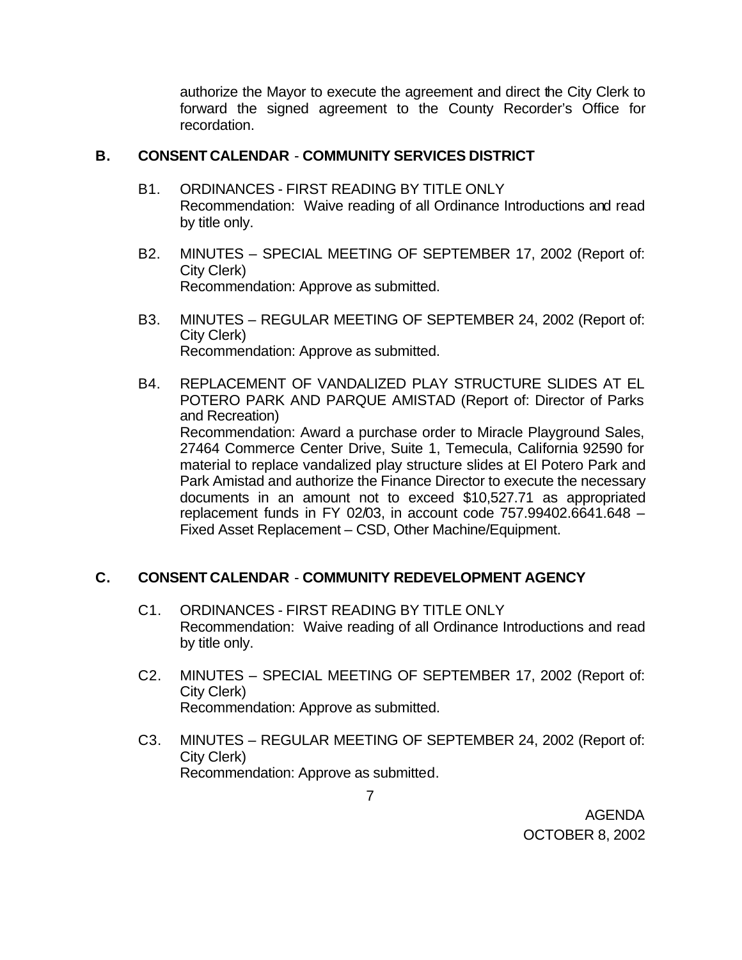authorize the Mayor to execute the agreement and direct the City Clerk to forward the signed agreement to the County Recorder's Office for recordation.

### **B. CONSENT CALENDAR** - **COMMUNITY SERVICES DISTRICT**

- B1. ORDINANCES FIRST READING BY TITLE ONLY Recommendation: Waive reading of all Ordinance Introductions and read by title only.
- B2. MINUTES SPECIAL MEETING OF SEPTEMBER 17, 2002 (Report of: City Clerk) Recommendation: Approve as submitted.
- B3. MINUTES REGULAR MEETING OF SEPTEMBER 24, 2002 (Report of: City Clerk) Recommendation: Approve as submitted.
- B4. REPLACEMENT OF VANDALIZED PLAY STRUCTURE SLIDES AT EL POTERO PARK AND PARQUE AMISTAD (Report of: Director of Parks and Recreation) Recommendation: Award a purchase order to Miracle Playground Sales, 27464 Commerce Center Drive, Suite 1, Temecula, California 92590 for material to replace vandalized play structure slides at El Potero Park and Park Amistad and authorize the Finance Director to execute the necessary documents in an amount not to exceed \$10,527.71 as appropriated replacement funds in FY 02/03, in account code 757.99402.6641.648 – Fixed Asset Replacement – CSD, Other Machine/Equipment.

# **C. CONSENT CALENDAR** - **COMMUNITY REDEVELOPMENT AGENCY**

- C1. ORDINANCES FIRST READING BY TITLE ONLY Recommendation: Waive reading of all Ordinance Introductions and read by title only.
- C2. MINUTES SPECIAL MEETING OF SEPTEMBER 17, 2002 (Report of: City Clerk) Recommendation: Approve as submitted.
- C3. MINUTES REGULAR MEETING OF SEPTEMBER 24, 2002 (Report of: City Clerk) Recommendation: Approve as submitted.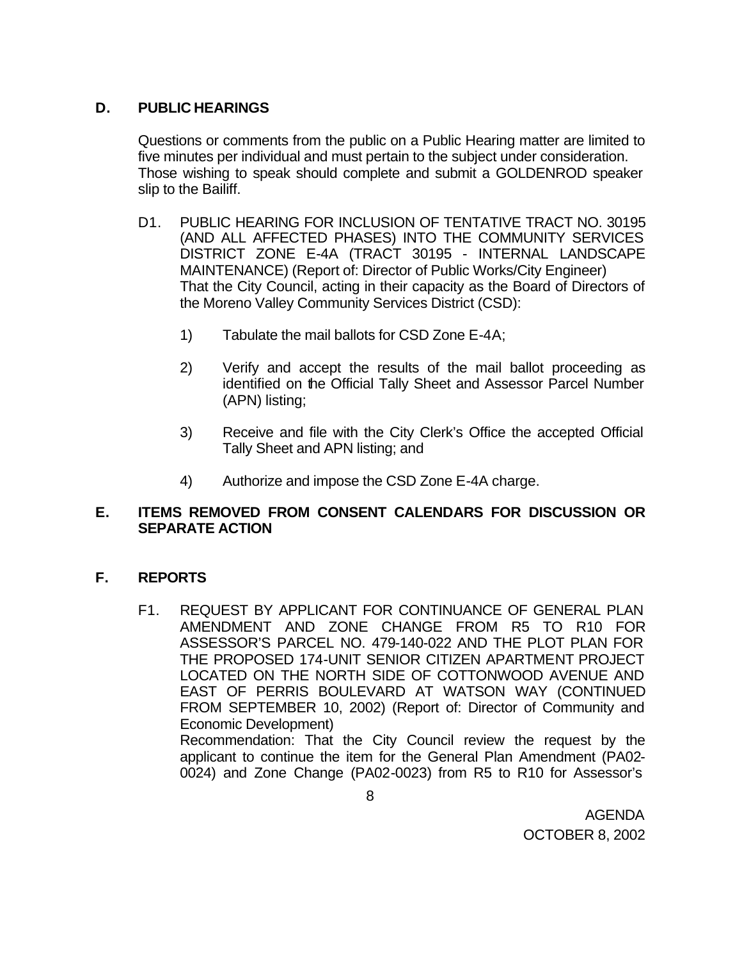# **D. PUBLIC HEARINGS**

Questions or comments from the public on a Public Hearing matter are limited to five minutes per individual and must pertain to the subject under consideration. Those wishing to speak should complete and submit a GOLDENROD speaker slip to the Bailiff.

- D1. PUBLIC HEARING FOR INCLUSION OF TENTATIVE TRACT NO. 30195 (AND ALL AFFECTED PHASES) INTO THE COMMUNITY SERVICES DISTRICT ZONE E-4A (TRACT 30195 - INTERNAL LANDSCAPE MAINTENANCE) (Report of: Director of Public Works/City Engineer) That the City Council, acting in their capacity as the Board of Directors of the Moreno Valley Community Services District (CSD):
	- 1) Tabulate the mail ballots for CSD Zone E-4A;
	- 2) Verify and accept the results of the mail ballot proceeding as identified on the Official Tally Sheet and Assessor Parcel Number (APN) listing;
	- 3) Receive and file with the City Clerk's Office the accepted Official Tally Sheet and APN listing; and
	- 4) Authorize and impose the CSD Zone E-4A charge.

# **E. ITEMS REMOVED FROM CONSENT CALENDARS FOR DISCUSSION OR SEPARATE ACTION**

# **F. REPORTS**

F1. REQUEST BY APPLICANT FOR CONTINUANCE OF GENERAL PLAN AMENDMENT AND ZONE CHANGE FROM R5 TO R10 FOR ASSESSOR'S PARCEL NO. 479-140-022 AND THE PLOT PLAN FOR THE PROPOSED 174-UNIT SENIOR CITIZEN APARTMENT PROJECT LOCATED ON THE NORTH SIDE OF COTTONWOOD AVENUE AND EAST OF PERRIS BOULEVARD AT WATSON WAY (CONTINUED FROM SEPTEMBER 10, 2002) (Report of: Director of Community and Economic Development) Recommendation: That the City Council review the request by the applicant to continue the item for the General Plan Amendment (PA02- 0024) and Zone Change (PA02-0023) from R5 to R10 for Assessor's

8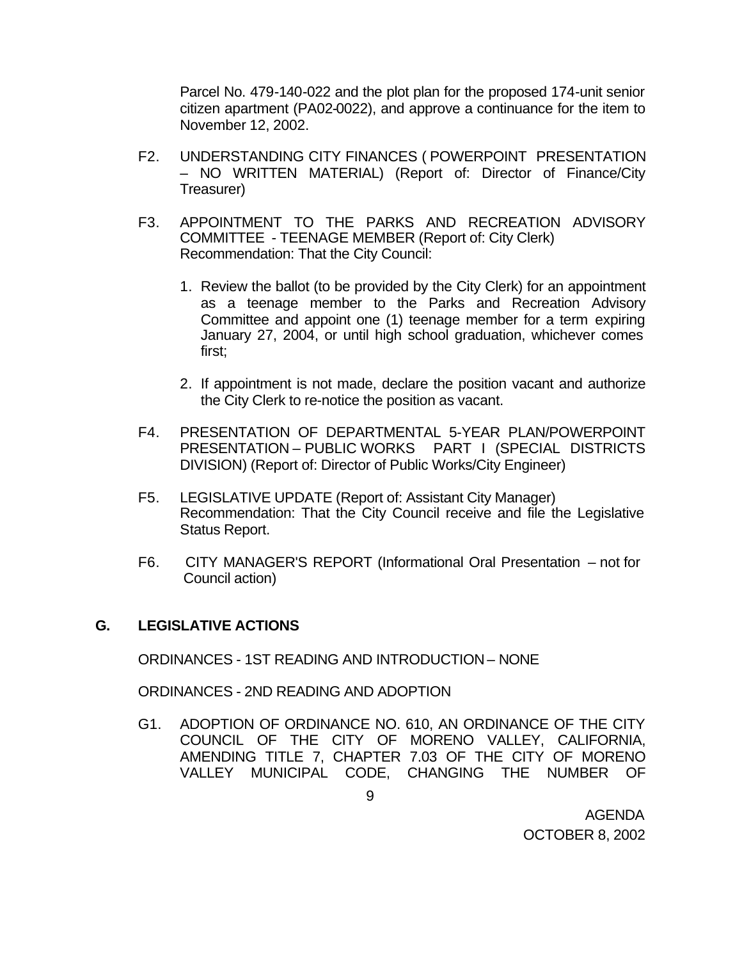Parcel No. 479-140-022 and the plot plan for the proposed 174-unit senior citizen apartment (PA02-0022), and approve a continuance for the item to November 12, 2002.

- F2. UNDERSTANDING CITY FINANCES ( POWERPOINT PRESENTATION – NO WRITTEN MATERIAL) (Report of: Director of Finance/City Treasurer)
- F3. APPOINTMENT TO THE PARKS AND RECREATION ADVISORY COMMITTEE - TEENAGE MEMBER (Report of: City Clerk) Recommendation: That the City Council:
	- 1. Review the ballot (to be provided by the City Clerk) for an appointment as a teenage member to the Parks and Recreation Advisory Committee and appoint one (1) teenage member for a term expiring January 27, 2004, or until high school graduation, whichever comes first;
	- 2. If appointment is not made, declare the position vacant and authorize the City Clerk to re-notice the position as vacant.
- F4. PRESENTATION OF DEPARTMENTAL 5-YEAR PLAN/POWERPOINT PRESENTATION – PUBLIC WORKS PART I (SPECIAL DISTRICTS DIVISION) (Report of: Director of Public Works/City Engineer)
- F5. LEGISLATIVE UPDATE (Report of: Assistant City Manager) Recommendation: That the City Council receive and file the Legislative Status Report.
- F6. CITY MANAGER'S REPORT (Informational Oral Presentation not for Council action)

### **G. LEGISLATIVE ACTIONS**

ORDINANCES - 1ST READING AND INTRODUCTION – NONE

ORDINANCES - 2ND READING AND ADOPTION

G1. ADOPTION OF ORDINANCE NO. 610, AN ORDINANCE OF THE CITY COUNCIL OF THE CITY OF MORENO VALLEY, CALIFORNIA, AMENDING TITLE 7, CHAPTER 7.03 OF THE CITY OF MORENO VALLEY MUNICIPAL CODE, CHANGING THE NUMBER OF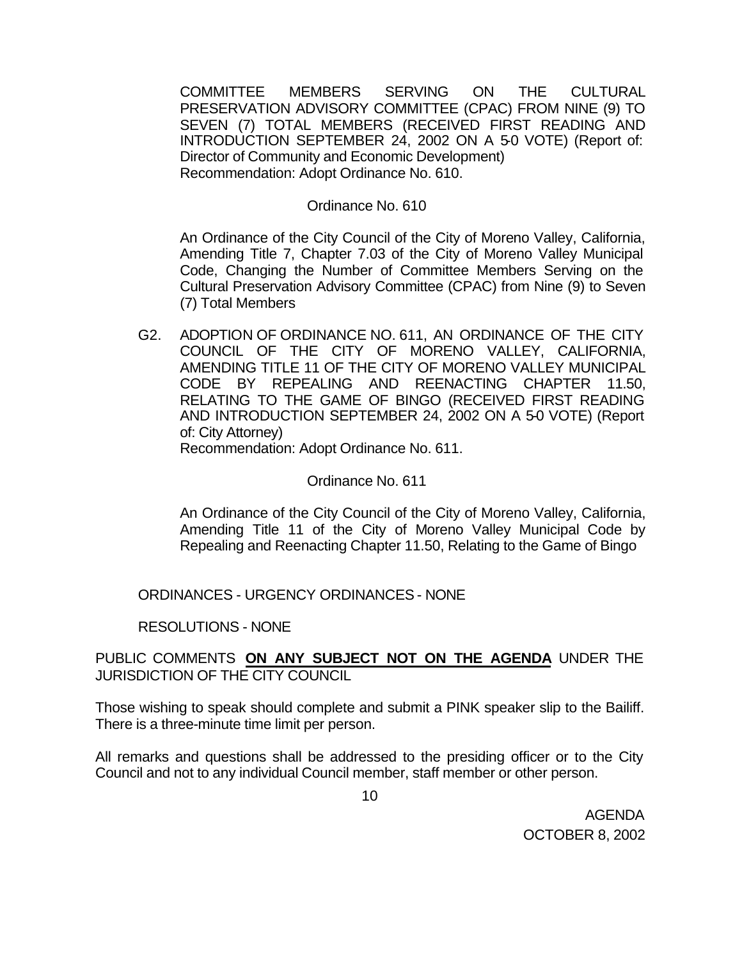COMMITTEE MEMBERS SERVING ON THE CULTURAL PRESERVATION ADVISORY COMMITTEE (CPAC) FROM NINE (9) TO SEVEN (7) TOTAL MEMBERS (RECEIVED FIRST READING AND INTRODUCTION SEPTEMBER 24, 2002 ON A 5-0 VOTE) (Report of: Director of Community and Economic Development) Recommendation: Adopt Ordinance No. 610.

#### Ordinance No. 610

An Ordinance of the City Council of the City of Moreno Valley, California, Amending Title 7, Chapter 7.03 of the City of Moreno Valley Municipal Code, Changing the Number of Committee Members Serving on the Cultural Preservation Advisory Committee (CPAC) from Nine (9) to Seven (7) Total Members

G2. ADOPTION OF ORDINANCE NO. 611, AN ORDINANCE OF THE CITY COUNCIL OF THE CITY OF MORENO VALLEY, CALIFORNIA, AMENDING TITLE 11 OF THE CITY OF MORENO VALLEY MUNICIPAL CODE BY REPEALING AND REENACTING CHAPTER 11.50, RELATING TO THE GAME OF BINGO (RECEIVED FIRST READING AND INTRODUCTION SEPTEMBER 24, 2002 ON A 5-0 VOTE) (Report of: City Attorney)

Recommendation: Adopt Ordinance No. 611.

#### Ordinance No. 611

An Ordinance of the City Council of the City of Moreno Valley, California, Amending Title 11 of the City of Moreno Valley Municipal Code by Repealing and Reenacting Chapter 11.50, Relating to the Game of Bingo

## ORDINANCES - URGENCY ORDINANCES - NONE

### RESOLUTIONS - NONE

## PUBLIC COMMENTS **ON ANY SUBJECT NOT ON THE AGENDA** UNDER THE JURISDICTION OF THE CITY COUNCIL

Those wishing to speak should complete and submit a PINK speaker slip to the Bailiff. There is a three-minute time limit per person.

All remarks and questions shall be addressed to the presiding officer or to the City Council and not to any individual Council member, staff member or other person.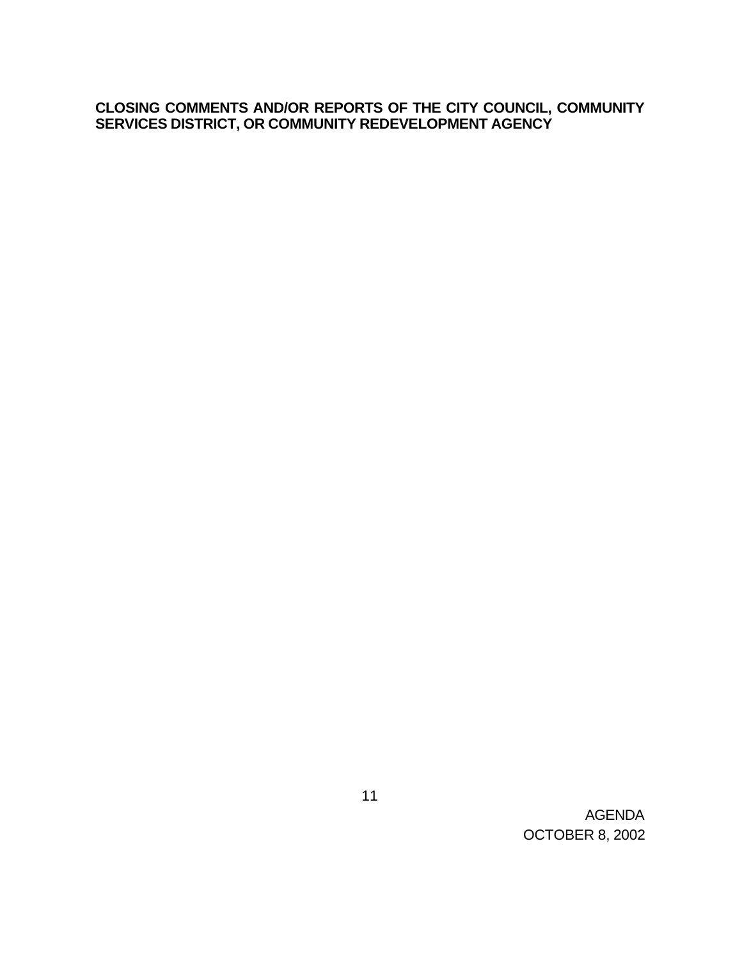## **CLOSING COMMENTS AND/OR REPORTS OF THE CITY COUNCIL, COMMUNITY SERVICES DISTRICT, OR COMMUNITY REDEVELOPMENT AGENCY**